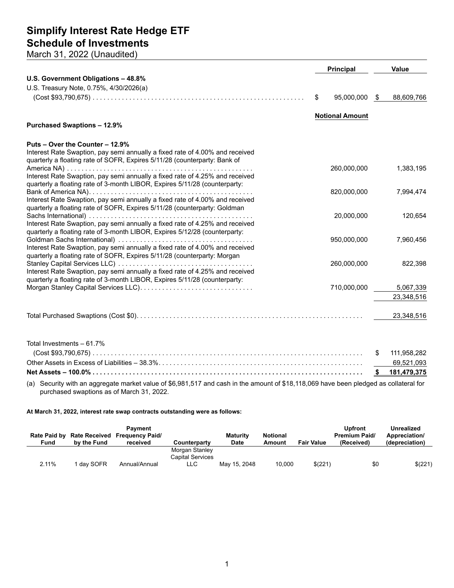## **Simplify Interest Rate Hedge ETF Schedule of Investments**

March 31, 2022 (Unaudited)

|                                                                              |    | <b>Principal</b>       |      | <b>Value</b> |  |
|------------------------------------------------------------------------------|----|------------------------|------|--------------|--|
| U.S. Government Obligations - 48.8%                                          |    |                        |      |              |  |
| U.S. Treasury Note, 0.75%, 4/30/2026(a)                                      |    |                        |      |              |  |
|                                                                              | \$ | 95,000,000             | - \$ | 88,609,766   |  |
|                                                                              |    |                        |      |              |  |
|                                                                              |    | <b>Notional Amount</b> |      |              |  |
| <b>Purchased Swaptions - 12.9%</b>                                           |    |                        |      |              |  |
| Puts – Over the Counter – 12.9%                                              |    |                        |      |              |  |
| Interest Rate Swaption, pay semi annually a fixed rate of 4.00% and received |    |                        |      |              |  |
| quarterly a floating rate of SOFR, Expires 5/11/28 (counterparty: Bank of    |    |                        |      |              |  |
|                                                                              |    | 260,000,000            |      | 1,383,195    |  |
| Interest Rate Swaption, pay semi annually a fixed rate of 4.25% and received |    |                        |      |              |  |
| quarterly a floating rate of 3-month LIBOR, Expires 5/11/28 (counterparty:   |    |                        |      |              |  |
|                                                                              |    | 820,000,000            |      | 7,994,474    |  |
| Interest Rate Swaption, pay semi annually a fixed rate of 4.00% and received |    |                        |      |              |  |
| quarterly a floating rate of SOFR, Expires 5/11/28 (counterparty: Goldman    |    |                        |      |              |  |
| Interest Rate Swaption, pay semi annually a fixed rate of 4.25% and received |    | 20,000,000             |      | 120,654      |  |
| quarterly a floating rate of 3-month LIBOR, Expires 5/12/28 (counterparty:   |    |                        |      |              |  |
|                                                                              |    | 950,000,000            |      | 7,960,456    |  |
| Interest Rate Swaption, pay semi annually a fixed rate of 4.00% and received |    |                        |      |              |  |
| quarterly a floating rate of SOFR, Expires 5/11/28 (counterparty: Morgan     |    |                        |      |              |  |
|                                                                              |    | 260,000,000            |      | 822,398      |  |
| Interest Rate Swaption, pay semi annually a fixed rate of 4.25% and received |    |                        |      |              |  |
| quarterly a floating rate of 3-month LIBOR, Expires 5/11/28 (counterparty:   |    |                        |      |              |  |
|                                                                              |    | 710,000,000            |      | 5,067,339    |  |
|                                                                              |    |                        |      | 23,348,516   |  |
|                                                                              |    |                        |      |              |  |
|                                                                              |    |                        |      | 23,348,516   |  |
|                                                                              |    |                        |      |              |  |

| Total Investments $-61.7\%$ |  |
|-----------------------------|--|
|                             |  |
|                             |  |
|                             |  |

(a) Security with an aggregate market value of \$6,981,517 and cash in the amount of \$18,118,069 have been pledged as collateral for purchased swaptions as of March 31, 2022.

**At March 31, 2022, interest rate swap contracts outstanding were as follows:**

| <b>Rate Paid by</b><br>Fund | by the Fund | Pavment<br>Rate Received Frequency Paid/<br>received | Counterparty                                     | <b>Maturity</b><br><b>Date</b> | <b>Notional</b><br>Amount | <b>Fair Value</b> | <b>Upfront</b><br><b>Premium Paid/</b><br>(Received) | Unrealized<br>Appreciation/<br>(depreciation) |
|-----------------------------|-------------|------------------------------------------------------|--------------------------------------------------|--------------------------------|---------------------------|-------------------|------------------------------------------------------|-----------------------------------------------|
| 2.11%                       | dav SOFR    | Annual/Annual                                        | Morgan Stanley<br><b>Capital Services</b><br>LLC | May 15, 2048                   | 10,000                    | \$(221)           | \$0                                                  | \$(221)                                       |